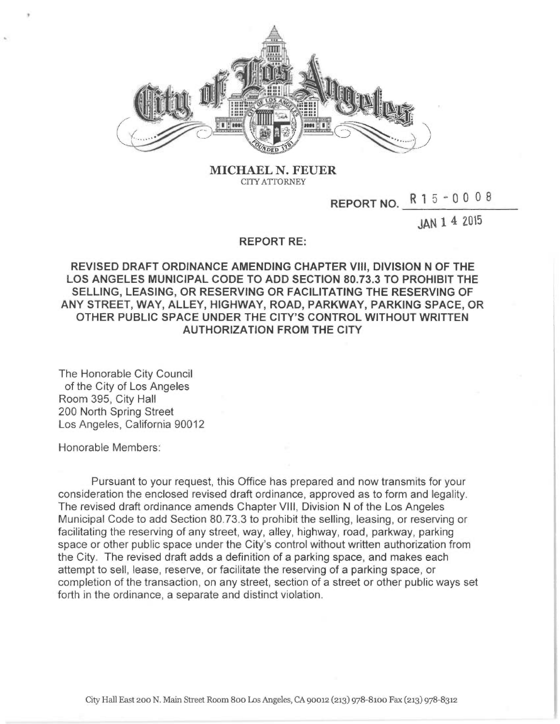

MICHAEL N. FEUER CITY ATTORNEY

REPORT NO. R 1 5 - 0 0 0 8

JAN 1 4 2015

## REPORT RE:

REVISED DRAFT ORDINANCE AMENDING CHAPTER VIII, DIVISION N OF THE LOS ANGELES MUNICIPAL CODE TO ADD SECTION 80.73.3 TO PROHIBIT THE SELLING, LEASING, OR RESERVING OR FACILITATING THE RESERVING OF ANY STREET, WAY, ALLEY, HIGHWAY, ROAD, PARKWAY, PARKING SPACE, OR OTHER PUBLIC SPACE UNDER THE CITY'S CONTROL WITHOUT WRITTEN AUTHORIZATION FROM THE CITY

The Honorable City Council of the City of Los Angeles Room 395, City Hall 200 North Spring Street Los Angeles, California 90012

Honorable Members:

Pursuant to your request, this Office has prepared and now transmits for your consideration the enclosed revised draft ordinance, approved as to form and legality. The revised draft ordinance amends Chapter VIII, Division N of the Los Angeles Municipal Code to add Section 80.73.3 to prohibit the selling, leasing, or reserving or facilitating the reserving of any street, way, alley, highway, road, parkway, parking space or other public space under the City's control without written authorization from the City. The revised draft adds a definition of a parking space, and makes each attempt to sell, lease, reserve, or facilitate the reserving of a parking space, or completion of the transaction, on any street, section of a street or other public ways set forth in the ordinance, a separate and distinct violation.